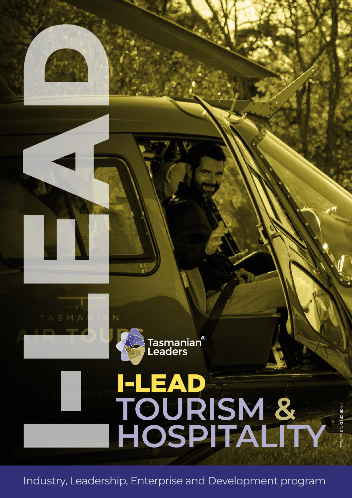

TASMA



# **TOURISM & HOSPITALITY** I-LEAD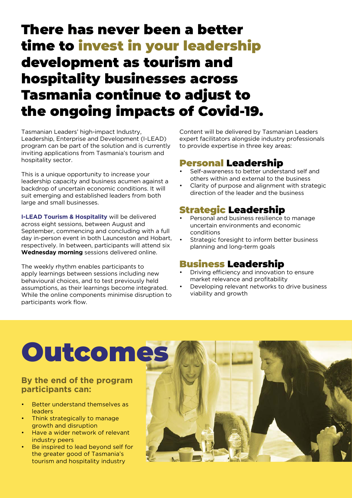### There has never been a better time to invest in your leadership development as tourism and hospitality businesses across Tasmania continue to adjust to the ongoing impacts of Covid-19.

Tasmanian Leaders' high-impact Industry, Leadership, Enterprise and Development (I-LEAD) program can be part of the solution and is currently inviting applications from Tasmania's tourism and hospitality sector.

This is a unique opportunity to increase your leadership capacity and business acumen against a backdrop of uncertain economic conditions. It will suit emerging and established leaders from both large and small businesses.

**I-LEAD Tourism & Hospitality** will be delivered across eight sessions, between August and September, commencing and concluding with a full day in-person event in both Launceston and Hobart, respectively. In between, participants will attend six **Wednesday morning** sessions delivered online.

The weekly rhythm enables participants to apply learnings between sessions including new behavioural choices, and to test previously held assumptions, as their learnings become integrated. While the online components minimise disruption to participants work flow.

Content will be delivered by Tasmanian Leaders expert facilitators alongside industry professionals to provide expertise in three key areas:

### Personal Leadership

- Self-awareness to better understand self and others within and external to the business
- Clarity of purpose and alignment with strategic direction of the leader and the business

### Strategic Leadership

- Personal and business resilience to manage uncertain environments and economic conditions
- Strategic foresight to inform better business planning and long-term goals

### Business Leadership

- Driving efficiency and innovation to ensure market relevance and profitability
- Developing relevant networks to drive business viability and growth

# Outcomes

#### **By the end of the program participants can:**

- Better understand themselves as leaders
- Think strategically to manage growth and disruption
- Have a wider network of relevant industry peers
- Be inspired to lead beyond self for the greater good of Tasmania's tourism and hospitality industry

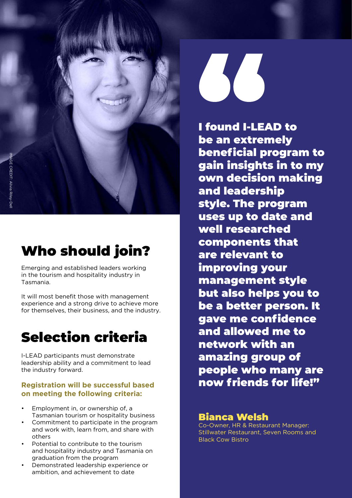

# Who should join?

Emerging and established leaders working in the tourism and hospitality industry in Tasmania.

It will most benefit those with management experience and a strong drive to achieve more for themselves, their business, and the industry.

## Selection criteria

I-LEAD participants must demonstrate leadership ability and a commitment to lead the industry forward.

#### **Registration will be successful based on meeting the following criteria:**

- Employment in, or ownership of, a Tasmanian tourism or hospitality business
- Commitment to participate in the program and work with, learn from, and share with others
- Potential to contribute to the tourism and hospitality industry and Tasmania on graduation from the program
- Demonstrated leadership experience or ambition, and achievement to date

I found I-LEAD to be an extremely beneficial program to gain insights in to my own decision making and leadership style. The program uses up to date and well researched components that are relevant to improving your management style but also helps you to be a better person. It gave me confidence and allowed me to network with an amazing group of people who many are now friends for life!"

#### Bianca Welsh

Co-Owner, HR & Restaurant Manager: Stillwater Restaurant, Seven Rooms and Black Cow Bistro